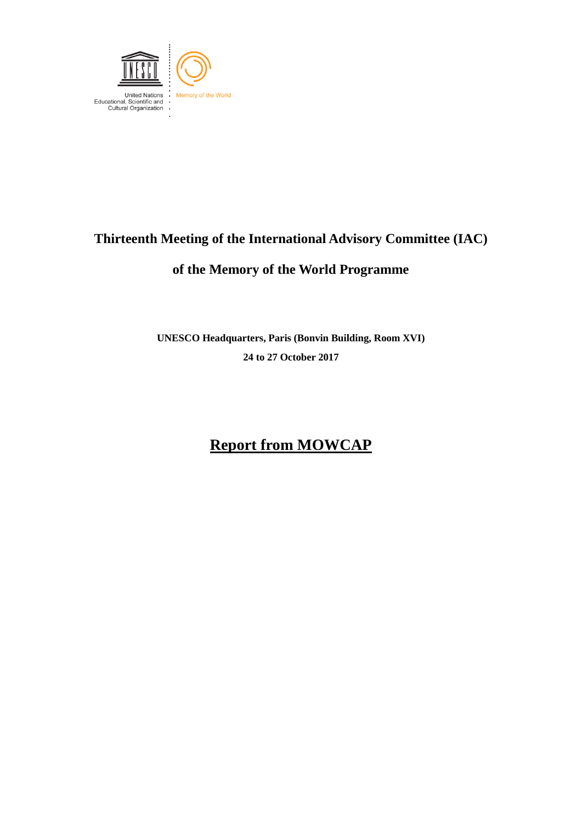

## **Thirteenth Meeting of the International Advisory Committee (IAC)**

### **of the Memory of the World Programme**

**UNESCO Headquarters, Paris (Bonvin Building, Room XVI) 24 to 27 October 2017**

# **Report from MOWCAP**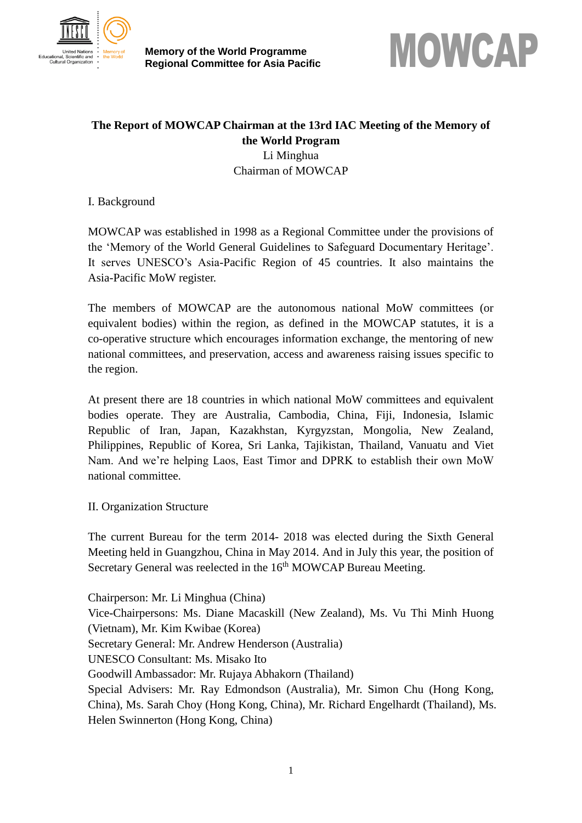

**Memory of the World Programme**



### **The Report of MOWCAP Chairman at the 13rd IAC Meeting of the Memory of the World Program** Li Minghua Chairman of MOWCAP

I. Background

MOWCAP was established in 1998 as a Regional Committee under the provisions of the 'Memory of the World General Guidelines to Safeguard Documentary Heritage'. It serves UNESCO's Asia-Pacific Region of 45 countries. It also maintains the Asia-Pacific MoW register.

The members of MOWCAP are the autonomous national MoW committees (or equivalent bodies) within the region, as defined in the MOWCAP statutes, it is a co-operative structure which encourages information exchange, the mentoring of new national committees, and preservation, access and awareness raising issues specific to the region.

At present there are 18 countries in which national MoW committees and equivalent bodies operate. They are Australia, Cambodia, China, Fiji, Indonesia, Islamic Republic of Iran, Japan, Kazakhstan, Kyrgyzstan, Mongolia, New Zealand, Philippines, Republic of Korea, Sri Lanka, Tajikistan, Thailand, Vanuatu and Viet Nam. And we're helping Laos, East Timor and DPRK to establish their own MoW national committee.

#### II. Organization Structure

The current Bureau for the term 2014- 2018 was elected during the Sixth General Meeting held in Guangzhou, China in May 2014. And in July this year, the position of Secretary General was reelected in the 16<sup>th</sup> MOWCAP Bureau Meeting.

Chairperson: Mr. Li Minghua (China) Vice-Chairpersons: Ms. Diane Macaskill (New Zealand), Ms. Vu Thi Minh Huong (Vietnam), Mr. Kim Kwibae (Korea) Secretary General: Mr. Andrew Henderson (Australia) UNESCO Consultant: Ms. Misako Ito Goodwill Ambassador: Mr. Rujaya Abhakorn (Thailand) Special Advisers: Mr. Ray Edmondson (Australia), Mr. Simon Chu (Hong Kong, China), Ms. Sarah Choy (Hong Kong, China), Mr. Richard Engelhardt (Thailand), Ms. Helen Swinnerton (Hong Kong, China)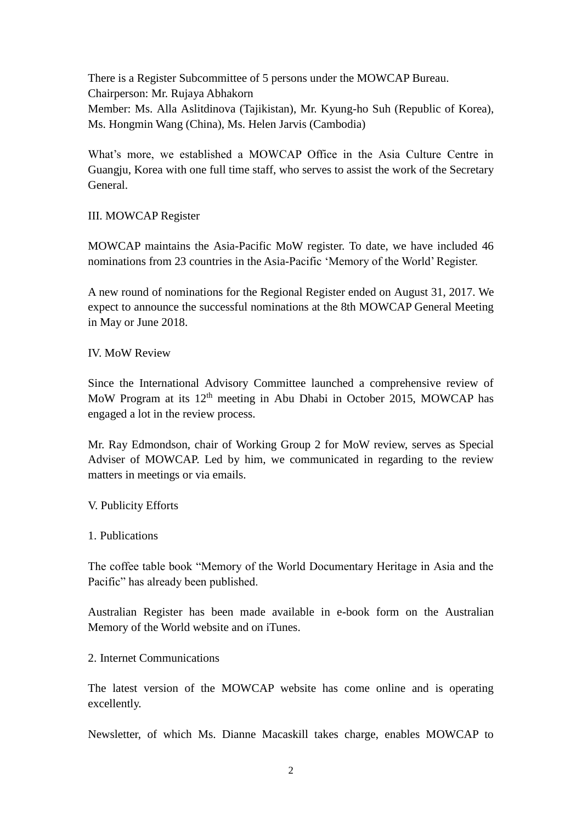There is a Register Subcommittee of 5 persons under the MOWCAP Bureau. Chairperson: Mr. Rujaya Abhakorn Member: Ms. Alla Aslitdinova (Tajikistan), Mr. Kyung-ho Suh (Republic of Korea), Ms. Hongmin Wang (China), Ms. Helen Jarvis (Cambodia)

What's more, we established a MOWCAP Office in the Asia Culture Centre in Guangju, Korea with one full time staff, who serves to assist the work of the Secretary General.

#### III. MOWCAP Register

MOWCAP maintains the Asia-Pacific MoW register. To date, we have included 46 nominations from 23 countries in the Asia-Pacific 'Memory of the World' Register.

A new round of nominations for the Regional Register ended on August 31, 2017. We expect to announce the successful nominations at the 8th MOWCAP General Meeting in May or June 2018.

#### IV. MoW Review

Since the International Advisory Committee launched a comprehensive review of MoW Program at its 12<sup>th</sup> meeting in Abu Dhabi in October 2015, MOWCAP has engaged a lot in the review process.

Mr. Ray Edmondson, chair of Working Group 2 for MoW review, serves as Special Adviser of MOWCAP. Led by him, we communicated in regarding to the review matters in meetings or via emails.

V. Publicity Efforts

#### 1. Publications

The coffee table book "Memory of the World Documentary Heritage in Asia and the Pacific" has already been published.

Australian Register has been made available in e-book form on the Australian Memory of the World website and on iTunes.

#### 2. Internet Communications

The latest version of the MOWCAP website has come online and is operating excellently.

Newsletter, of which Ms. Dianne Macaskill takes charge, enables MOWCAP to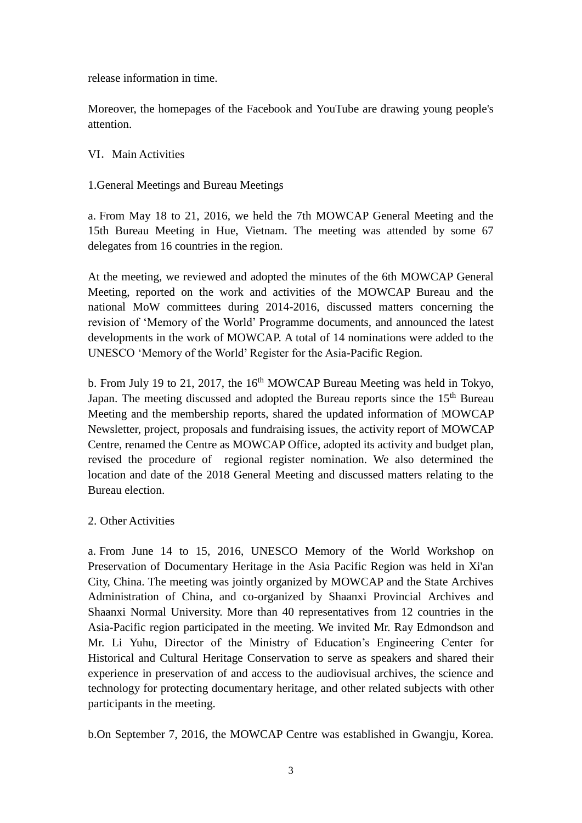release information in time.

Moreover, the homepages of the Facebook and YouTube are drawing young people's attention.

VI. Main Activities

1.General Meetings and Bureau Meetings

a. From May 18 to 21, 2016, we held the 7th MOWCAP General Meeting and the 15th Bureau Meeting in Hue, Vietnam. The meeting was attended by some 67 delegates from 16 countries in the region.

At the meeting, we reviewed and adopted the minutes of the 6th MOWCAP General Meeting, reported on the work and activities of the MOWCAP Bureau and the national MoW committees during 2014-2016, discussed matters concerning the revision of 'Memory of the World' Programme documents, and announced the latest developments in the work of MOWCAP. A total of 14 nominations were added to the UNESCO 'Memory of the World' Register for the Asia-Pacific Region.

b. From July 19 to 21, 2017, the  $16<sup>th</sup>$  MOWCAP Bureau Meeting was held in Tokyo. Japan. The meeting discussed and adopted the Bureau reports since the 15<sup>th</sup> Bureau Meeting and the membership reports, shared the updated information of MOWCAP Newsletter, project, proposals and fundraising issues, the activity report of MOWCAP Centre, renamed the Centre as MOWCAP Office, adopted its activity and budget plan, revised the procedure of regional register nomination. We also determined the location and date of the 2018 General Meeting and discussed matters relating to the Bureau election.

#### 2. Other Activities

a. From June 14 to 15, 2016, UNESCO Memory of the World Workshop on Preservation of Documentary Heritage in the Asia Pacific Region was held in Xi'an City, China. The meeting was jointly organized by MOWCAP and the State Archives Administration of China, and co-organized by Shaanxi Provincial Archives and Shaanxi Normal University. More than 40 representatives from 12 countries in the Asia-Pacific region participated in the meeting. We invited Mr. Ray Edmondson and Mr. Li Yuhu, Director of the Ministry of Education's Engineering Center for Historical and Cultural Heritage Conservation to serve as speakers and shared their experience in preservation of and access to the audiovisual archives, the science and technology for protecting documentary heritage, and other related subjects with other participants in the meeting.

b.On September 7, 2016, the MOWCAP Centre was established in Gwangju, Korea.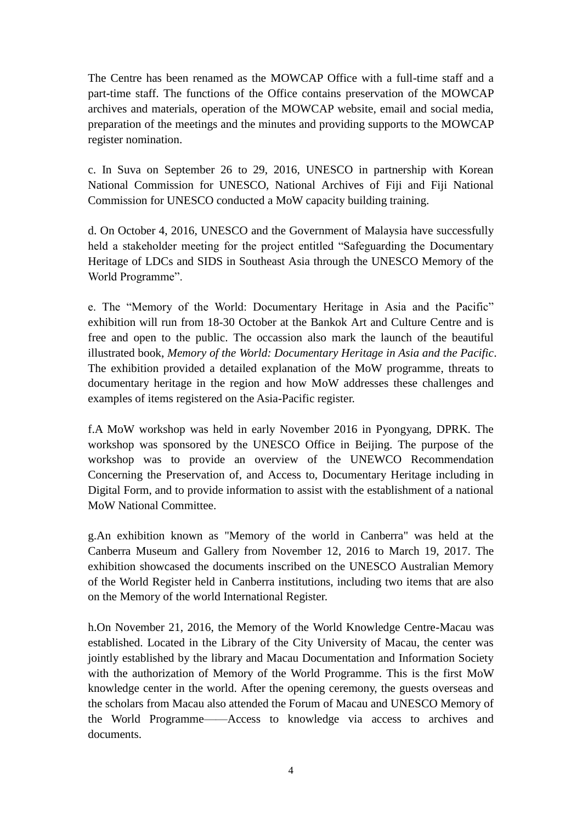The Centre has been renamed as the MOWCAP Office with a full-time staff and a part-time staff. The functions of the Office contains preservation of the MOWCAP archives and materials, operation of the MOWCAP website, email and social media, preparation of the meetings and the minutes and providing supports to the MOWCAP register nomination.

c. In Suva on September 26 to 29, 2016, UNESCO in partnership with Korean National Commission for UNESCO, National Archives of Fiji and Fiji National Commission for UNESCO conducted a MoW capacity building training.

d. On October 4, 2016, UNESCO and the Government of Malaysia have successfully held a stakeholder meeting for the project entitled "Safeguarding the Documentary Heritage of LDCs and SIDS in Southeast Asia through the UNESCO Memory of the World Programme".

e. The "Memory of the World: Documentary Heritage in Asia and the Pacific" exhibition will run from 18-30 October at the Bankok Art and Culture Centre and is free and open to the public. The occassion also mark the launch of the beautiful illustrated book, *Memory of the World: Documentary Heritage in Asia and the Pacific*. The exhibition provided a detailed explanation of the MoW programme, threats to documentary heritage in the region and how MoW addresses these challenges and examples of items registered on the Asia-Pacific register.

f.A MoW workshop was held in early November 2016 in Pyongyang, DPRK. The workshop was sponsored by the UNESCO Office in Beijing. The purpose of the workshop was to provide an overview of the UNEWCO Recommendation Concerning the Preservation of, and Access to, Documentary Heritage including in Digital Form, and to provide information to assist with the establishment of a national MoW National Committee.

g.An exhibition known as "Memory of the world in Canberra" was held at the Canberra Museum and Gallery from November 12, 2016 to March 19, 2017. The exhibition showcased the documents inscribed on the UNESCO Australian Memory of the World Register held in Canberra institutions, including two items that are also on the Memory of the world International Register.

h.On November 21, 2016, the Memory of the World Knowledge Centre-Macau was established. Located in the Library of the City University of Macau, the center was jointly established by the library and Macau Documentation and Information Society with the authorization of Memory of the World Programme. This is the first MoW knowledge center in the world. After the opening ceremony, the guests overseas and the scholars from Macau also attended the Forum of Macau and UNESCO Memory of the World Programme——Access to knowledge via access to archives and documents.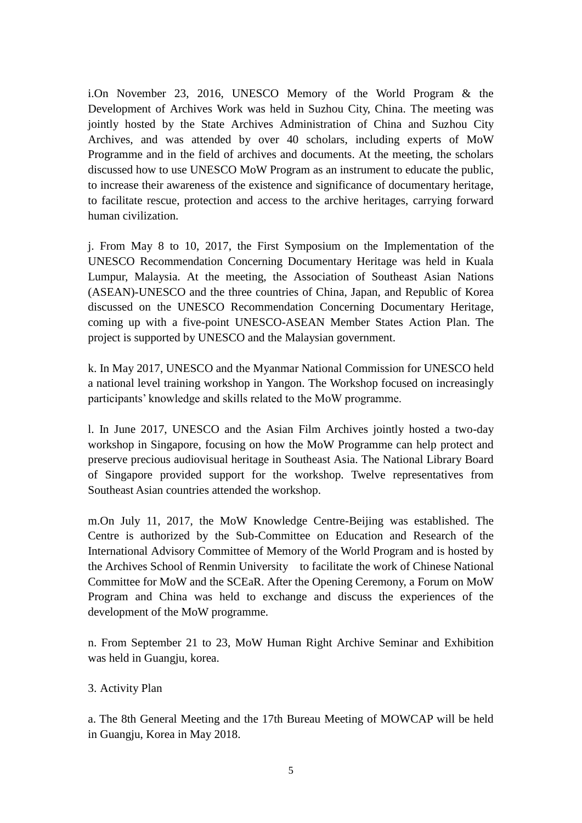i.On November 23, 2016, UNESCO Memory of the World Program & the Development of Archives Work was held in Suzhou City, China. The meeting was jointly hosted by the State Archives Administration of China and Suzhou City Archives, and was attended by over 40 scholars, including experts of MoW Programme and in the field of archives and documents. At the meeting, the scholars discussed how to use UNESCO MoW Program as an instrument to educate the public, to increase their awareness of the existence and significance of documentary heritage, to facilitate rescue, protection and access to the archive heritages, carrying forward human civilization.

j. From May 8 to 10, 2017, the First Symposium on the Implementation of the UNESCO Recommendation Concerning Documentary Heritage was held in Kuala Lumpur, Malaysia. At the meeting, the Association of Southeast Asian Nations (ASEAN)-UNESCO and the three countries of China, Japan, and Republic of Korea discussed on the UNESCO Recommendation Concerning Documentary Heritage, coming up with a five-point UNESCO-ASEAN Member States Action Plan. The project is supported by UNESCO and the Malaysian government.

k. In May 2017, UNESCO and the Myanmar National Commission for UNESCO held a national level training workshop in Yangon. The Workshop focused on increasingly participants' knowledge and skills related to the MoW programme.

l. In June 2017, UNESCO and the Asian Film Archives jointly hosted a two-day workshop in Singapore, focusing on how the MoW Programme can help protect and preserve precious audiovisual heritage in Southeast Asia. The National Library Board of Singapore provided support for the workshop. Twelve representatives from Southeast Asian countries attended the workshop.

m.On July 11, 2017, the MoW Knowledge Centre-Beijing was established. The Centre is authorized by the Sub-Committee on Education and Research of the International Advisory Committee of Memory of the World Program and is hosted by the Archives School of Renmin University to facilitate the work of Chinese National Committee for MoW and the SCEaR. After the Opening Ceremony, a Forum on MoW Program and China was held to exchange and discuss the experiences of the development of the MoW programme.

n. From September 21 to 23, MoW Human Right Archive Seminar and Exhibition was held in Guangju, korea.

3. Activity Plan

a. The 8th General Meeting and the 17th Bureau Meeting of MOWCAP will be held in Guangju, Korea in May 2018.